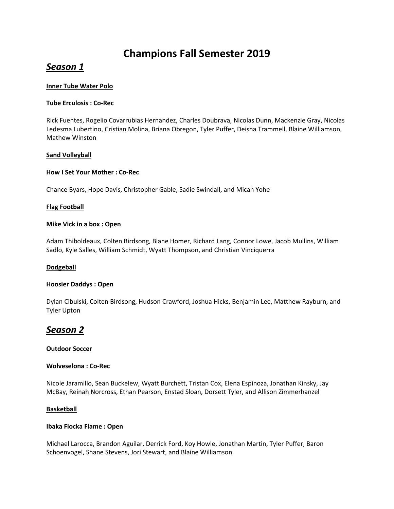# **Champions Fall Semester 2019**

## *Season 1*

#### **Inner Tube Water Polo**

#### **Tube Erculosis : Co-Rec**

Rick Fuentes, Rogelio Covarrubias Hernandez, Charles Doubrava, Nicolas Dunn, Mackenzie Gray, Nicolas Ledesma Lubertino, Cristian Molina, Briana Obregon, Tyler Puffer, Deisha Trammell, Blaine Williamson, Mathew Winston

#### **Sand Volleyball**

#### **How I Set Your Mother : Co-Rec**

Chance Byars, Hope Davis, Christopher Gable, Sadie Swindall, and Micah Yohe

#### **Flag Football**

#### **Mike Vick in a box : Open**

Adam Thiboldeaux, Colten Birdsong, Blane Homer, Richard Lang, Connor Lowe, Jacob Mullins, William Sadlo, Kyle Salles, William Schmidt, Wyatt Thompson, and Christian Vinciquerra

#### **Dodgeball**

#### **Hoosier Daddys : Open**

Dylan Cibulski, Colten Birdsong, Hudson Crawford, Joshua Hicks, Benjamin Lee, Matthew Rayburn, and Tyler Upton

## *Season 2*

#### **Outdoor Soccer**

#### **Wolveselona : Co-Rec**

Nicole Jaramillo, Sean Buckelew, Wyatt Burchett, Tristan Cox, Elena Espinoza, Jonathan Kinsky, Jay McBay, Reinah Norcross, Ethan Pearson, Enstad Sloan, Dorsett Tyler, and Allison Zimmerhanzel

#### **Basketball**

#### **Ibaka Flocka Flame : Open**

Michael Larocca, Brandon Aguilar, Derrick Ford, Koy Howle, Jonathan Martin, Tyler Puffer, Baron Schoenvogel, Shane Stevens, Jori Stewart, and Blaine Williamson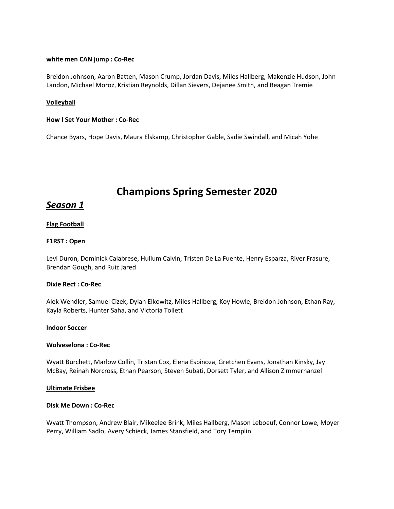#### **white men CAN jump : Co-Rec**

Breidon Johnson, Aaron Batten, Mason Crump, Jordan Davis, Miles Hallberg, Makenzie Hudson, John Landon, Michael Moroz, Kristian Reynolds, Dillan Sievers, Dejanee Smith, and Reagan Tremie

#### **Volleyball**

#### **How I Set Your Mother : Co-Rec**

Chance Byars, Hope Davis, Maura Elskamp, Christopher Gable, Sadie Swindall, and Micah Yohe

# **Champions Spring Semester 2020**

## *Season 1*

#### **Flag Football**

#### **F1RST : Open**

Levi Duron, Dominick Calabrese, Hullum Calvin, Tristen De La Fuente, Henry Esparza, River Frasure, Brendan Gough, and Ruiz Jared

#### **Dixie Rect : Co-Rec**

Alek Wendler, Samuel Cizek, Dylan Elkowitz, Miles Hallberg, Koy Howle, Breidon Johnson, Ethan Ray, Kayla Roberts, Hunter Saha, and Victoria Tollett

#### **Indoor Soccer**

#### **Wolveselona : Co-Rec**

Wyatt Burchett, Marlow Collin, Tristan Cox, Elena Espinoza, Gretchen Evans, Jonathan Kinsky, Jay McBay, Reinah Norcross, Ethan Pearson, Steven Subati, Dorsett Tyler, and Allison Zimmerhanzel

#### **Ultimate Frisbee**

#### **Disk Me Down : Co-Rec**

Wyatt Thompson, Andrew Blair, Mikeelee Brink, Miles Hallberg, Mason Leboeuf, Connor Lowe, Moyer Perry, William Sadlo, Avery Schieck, James Stansfield, and Tory Templin